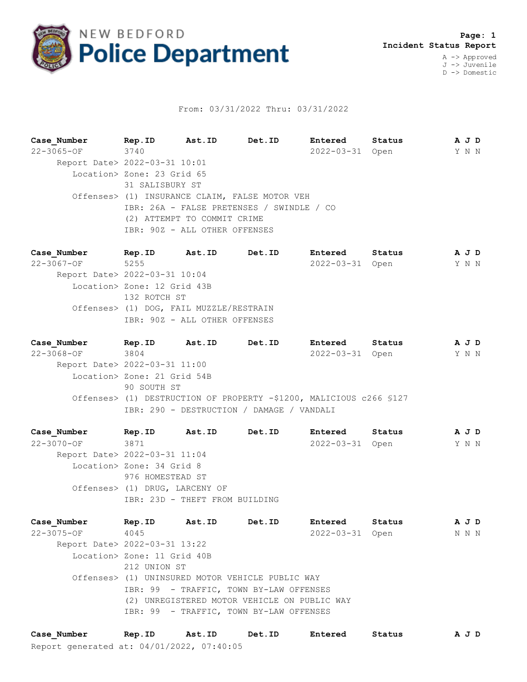

## From: 03/31/2022 Thru: 03/31/2022

**Case\_Number Rep.ID Ast.ID Det.ID Entered Status A J D** 22-3065-OF 3740 2022-03-31 Open Y N N Report Date> 2022-03-31 10:01 Location> Zone: 23 Grid 65 31 SALISBURY ST Offenses> (1) INSURANCE CLAIM, FALSE MOTOR VEH IBR: 26A - FALSE PRETENSES / SWINDLE / CO (2) ATTEMPT TO COMMIT CRIME IBR: 90Z - ALL OTHER OFFENSES

**Case\_Number Rep.ID Ast.ID Det.ID Entered Status A J D** 22-3067-OF 5255 2022-03-31 Open Y N N Report Date> 2022-03-31 10:04 Location> Zone: 12 Grid 43B 132 ROTCH ST Offenses> (1) DOG, FAIL MUZZLE/RESTRAIN IBR: 90Z - ALL OTHER OFFENSES

**Case\_Number Rep.ID Ast.ID Det.ID Entered Status A J D** 22-3068-OF 3804 2022-03-31 Open Y N N Report Date> 2022-03-31 11:00 Location> Zone: 21 Grid 54B 90 SOUTH ST Offenses> (1) DESTRUCTION OF PROPERTY -\$1200, MALICIOUS c266 §127 IBR: 290 - DESTRUCTION / DAMAGE / VANDALI

**Case\_Number Rep.ID Ast.ID Det.ID Entered Status A J D** 22-3070-OF 3871 2022-03-31 Open Y N N Report Date> 2022-03-31 11:04 Location> Zone: 34 Grid 8 976 HOMESTEAD ST Offenses> (1) DRUG, LARCENY OF IBR: 23D - THEFT FROM BUILDING

**Case\_Number Rep.ID Ast.ID Det.ID Entered Status A J D** 22-3075-OF 4045 2022-03-31 Open N N N Report Date> 2022-03-31 13:22 Location> Zone: 11 Grid 40B 212 UNION ST Offenses> (1) UNINSURED MOTOR VEHICLE PUBLIC WAY IBR: 99 - TRAFFIC, TOWN BY-LAW OFFENSES (2) UNREGISTERED MOTOR VEHICLE ON PUBLIC WAY IBR: 99 - TRAFFIC, TOWN BY-LAW OFFENSES

Report generated at: 04/01/2022, 07:40:05 **Case\_Number Rep.ID Ast.ID Det.ID Entered Status A J D**